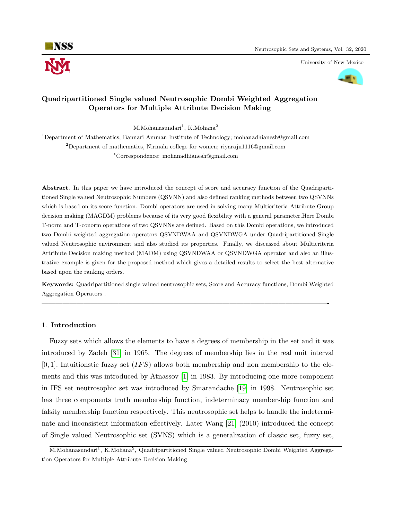

University of New Mexico



# Quadripartitioned Single valued Neutrosophic Dombi Weighted Aggregation Operators for Multiple Attribute Decision Making

 $M.Mohanasundari<sup>1</sup>, K.Mohana<sup>2</sup>$ 

<sup>1</sup>Department of Mathematics, Bannari Amman Institute of Technology; mohanadhianesh@gmail.com <sup>2</sup>Department of mathematics, Nirmala college for women; riyaraju1116@gmail.com <sup>∗</sup>Correspondence: mohanadhianesh@gmail.com

Abstract. In this paper we have introduced the concept of score and accuracy function of the Quadripartitioned Single valued Neutrosophic Numbers (QSVNN) and also defined ranking methods between two QSVNNs which is based on its score function. Dombi operators are used in solving many Multicriteria Attribute Group decision making (MAGDM) problems because of its very good flexibility with a general parameter.Here Dombi T-norm and T-conorm operations of two QSVNNs are defined. Based on this Dombi operations, we introduced two Dombi weighted aggregation operators QSVNDWAA and QSVNDWGA under Quadripartitioned Single valued Neutrosophic environment and also studied its properties. Finally, we discussed about Multicriteria Attribute Decision making method (MADM) using QSVNDWAA or QSVNDWGA operator and also an illustrative example is given for the proposed method which gives a detailed results to select the best alternative based upon the ranking orders.

Keywords: Quadripartitioned single valued neutrosophic sets, Score and Accuracy functions, Dombi Weighted Aggregation Operators .

—————————————————————————————————————————-

#### 1. Introduction

Fuzzy sets which allows the elements to have a degrees of membership in the set and it was introduced by Zadeh [\[31\]](#page-15-0) in 1965. The degrees of membership lies in the real unit interval  $[0, 1]$ . Intuitionstic fuzzy set  $(IFS)$  allows both membership and non membership to the elements and this was introduced by Atnassov [\[1\]](#page-13-0) in 1983. By introducing one more component in IFS set neutrosophic set was introduced by Smarandache [\[19\]](#page-14-0) in 1998. Neutrosophic set has three components truth membership function, indeterminacy membership function and falsity membership function respectively. This neutrosophic set helps to handle the indeterminate and inconsistent information effectively. Later Wang [\[21\]](#page-14-1) (2010) introduced the concept of Single valued Neutrosophic set (SVNS) which is a generalization of classic set, fuzzy set,

M.Mohanasundari<sup>1</sup>, K.Mohana<sup>2</sup>, Quadripartitioned Single valued Neutrosophic Dombi Weighted Aggregation Operators for Multiple Attribute Decision Making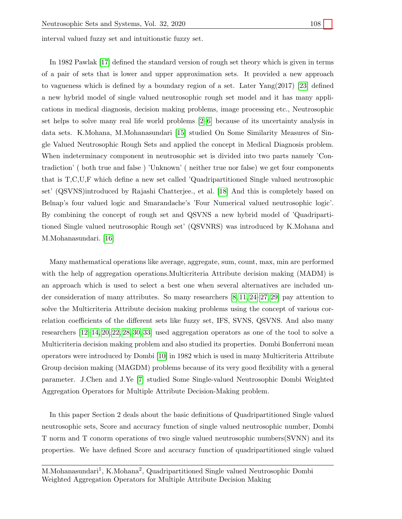interval valued fuzzy set and intuitionstic fuzzy set.

In 1982 Pawlak [\[17\]](#page-14-2) defined the standard version of rough set theory which is given in terms of a pair of sets that is lower and upper approximation sets. It provided a new approach to vagueness which is defined by a boundary region of a set. Later Yang(2017) [\[23\]](#page-14-3) defined a new hybrid model of single valued neutrosophic rough set model and it has many applications in medical diagnosis, decision making problems, image processing etc., Neutrosophic set helps to solve many real life world problems [\[2](#page-14-4)[–6\]](#page-14-5) because of its uncertainty analysis in data sets. K.Mohana, M.Mohanasundari [\[15\]](#page-14-6) studied On Some Similarity Measures of Single Valued Neutrosophic Rough Sets and applied the concept in Medical Diagnosis problem. When indeterminacy component in neutrosophic set is divided into two parts namely 'Contradiction' ( both true and false ) 'Unknown' ( neither true nor false) we get four components that is T,C,U,F which define a new set called 'Quadripartitioned Single valued neutrosophic set' (QSVNS)introduced by Rajashi Chatterjee., et al. [\[18\]](#page-14-7) And this is completely based on Belnap's four valued logic and Smarandache's 'Four Numerical valued neutrosophic logic'. By combining the concept of rough set and QSVNS a new hybrid model of 'Quadripartitioned Single valued neutrosophic Rough set' (QSVNRS) was introduced by K.Mohana and M.Mohanasundari. [\[16\]](#page-14-8)

Many mathematical operations like average, aggregate, sum, count, max, min are performed with the help of aggregation operations. Multicriteria Attribute decision making (MADM) is an approach which is used to select a best one when several alternatives are included under consideration of many attributes. So many researchers [\[8,](#page-14-9) [11,](#page-14-10) [24–](#page-14-11)[27,](#page-15-1) [29\]](#page-15-2) pay attention to solve the Multicriteria Attribute decision making problems using the concept of various correlation coefficients of the different sets like fuzzy set, IFS, SVNS, QSVNS. And also many researchers [\[12](#page-14-12)[–14,](#page-14-13) [20,](#page-14-14) [22,](#page-14-15) [28,](#page-15-3) [30,](#page-15-4) [33\]](#page-15-5) used aggregation operators as one of the tool to solve a Multicriteria decision making problem and also studied its properties. Dombi Bonferroni mean operators were introduced by Dombi [\[10\]](#page-14-16) in 1982 which is used in many Multicriteria Attribute Group decision making (MAGDM) problems because of its very good flexibility with a general parameter. J.Chen and J.Ye [\[7\]](#page-14-17) studied Some Single-valued Neutrosophic Dombi Weighted Aggregation Operators for Multiple Attribute Decision-Making problem.

In this paper Section 2 deals about the basic definitions of Quadripartitioned Single valued neutrosophic sets, Score and accuracy function of single valued neutrosophic number, Dombi T norm and T conorm operations of two single valued neutrosophic numbers(SVNN) and its properties. We have defined Score and accuracy function of quadripartitioned single valued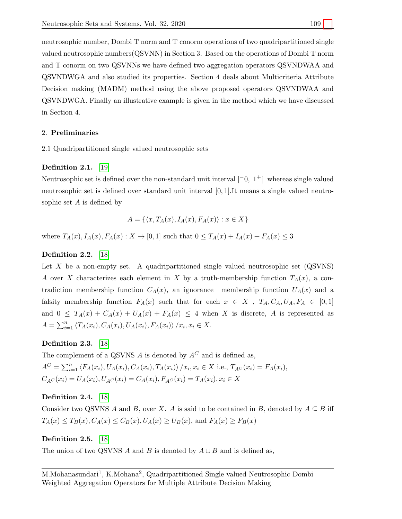neutrosophic number, Dombi T norm and T conorm operations of two quadripartitioned single valued neutrosophic numbers(QSVNN) in Section 3. Based on the operations of Dombi T norm and T conorm on two QSVNNs we have defined two aggregation operators QSVNDWAA and QSVNDWGA and also studied its properties. Section 4 deals about Multicriteria Attribute Decision making (MADM) method using the above proposed operators QSVNDWAA and QSVNDWGA. Finally an illustrative example is given in the method which we have discussed in Section 4.

## 2. Preliminaries

2.1 Quadripartitioned single valued neutrosophic sets

## Definition 2.1. [\[19\]](#page-14-0)

Neutrosophic set is defined over the non-standard unit interval  $\vert$ <sup>-0</sup>, 1<sup>+</sup> $\vert$  whereas single valued neutrosophic set is defined over standard unit interval [0, 1].It means a single valued neutrosophic set A is defined by

$$
A = \{ \langle x, T_A(x), I_A(x), F_A(x) \rangle : x \in X \}
$$

where  $T_A(x)$ ,  $I_A(x)$ ,  $F_A(x)$ :  $X \to [0, 1]$  such that  $0 \le T_A(x) + I_A(x) + F_A(x) \le 3$ 

# Definition 2.2. [\[18\]](#page-14-7)

Let  $X$  be a non-empty set. A quadripartitioned single valued neutrosophic set  $(QSVNS)$ A over X characterizes each element in X by a truth-membership function  $T_A(x)$ , a contradiction membership function  $C_A(x)$ , an ignorance membership function  $U_A(x)$  and a falsity membership function  $F_A(x)$  such that for each  $x \in X$ ,  $T_A, C_A, U_A, F_A \in [0,1]$ and  $0 \leq T_A(x) + C_A(x) + U_A(x) + F_A(x) \leq 4$  when X is discrete, A is represented as  $A = \sum_{i=1}^{n} \langle T_A(x_i), C_A(x_i), U_A(x_i), F_A(x_i) \rangle / x_i, x_i \in X.$ 

# Definition 2.3. [\[18\]](#page-14-7)

The complement of a QSVNS  $A$  is denoted by  $A^C$  and is defined as,  $A^C = \sum_{i=1}^n \langle F_A(x_i), U_A(x_i), C_A(x_i), T_A(x_i) \rangle / x_i, x_i \in X \text{ i.e., } T_{A^C}(x_i) = F_A(x_i),$  $C_{A}C(x_i) = U_A(x_i), U_{A}C(x_i) = C_A(x_i), F_{A}C(x_i) = T_A(x_i), x_i \in X$ 

#### Definition 2.4. [\[18\]](#page-14-7)

Consider two QSVNS A and B, over X. A is said to be contained in B, denoted by  $A \subseteq B$  iff  $T_A(x) \le T_B(x), C_A(x) \le C_B(x), U_A(x) \ge U_B(x),$  and  $F_A(x) \ge F_B(x)$ 

## Definition 2.5. [\[18\]](#page-14-7)

The union of two QSVNS A and B is denoted by  $A \cup B$  and is defined as,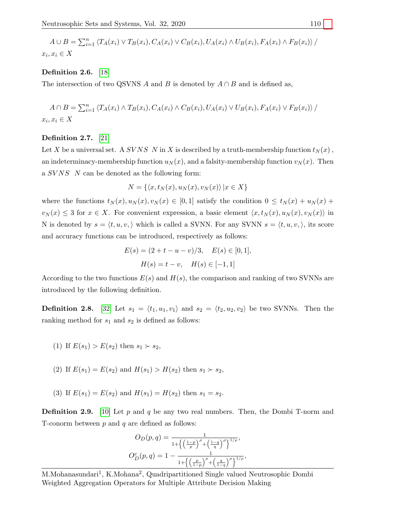$$
A \cup B = \sum_{i=1}^{n} \langle T_A(x_i) \vee T_B(x_i), C_A(x_i) \vee C_B(x_i), U_A(x_i) \wedge U_B(x_i), F_A(x_i) \wedge F_B(x_i) \rangle /
$$
  
 $x_i, x_i \in X$ 

#### Definition 2.6. [\[18\]](#page-14-7)

The intersection of two QSVNS A and B is denoted by  $A \cap B$  and is defined as,

$$
A \cap B = \sum_{i=1}^{n} \langle T_A(x_i) \land T_B(x_i), C_A(x_i) \land C_B(x_i), U_A(x_i) \lor U_B(x_i), F_A(x_i) \lor F_B(x_i) \rangle /
$$
  
 $x_i, x_i \in X$ 

#### Definition 2.7. [\[21\]](#page-14-1)

Let X be a universal set. A SVNS N in X is described by a truth-membership function  $t_N(x)$ , an indeterminacy-membership function  $u_N(x)$ , and a falsity-membership function  $v_N(x)$ . Then a  $SVNS$  N can be denoted as the following form:

$$
N = \{ \langle x, t_N(x), u_N(x), v_N(x) \rangle \, | x \in X \}
$$

where the functions  $t_N (x)$ ,  $u_N (x)$ ,  $v_N (x) \in [0,1]$  satisfy the condition  $0 \le t_N (x) + u_N (x) +$  $v_N(x) \leq 3$  for  $x \in X$ . For convenient expression, a basic element  $\langle x, t_N(x), u_N(x), v_N(x) \rangle$  in N is denoted by  $s = \langle t, u, v, \rangle$  which is called a SVNN. For any SVNN  $s = \langle t, u, v, \rangle$ , its score and accuracy functions can be introduced, respectively as follows:

$$
E(s) = (2 + t - u - v)/3, \quad E(s) \in [0, 1],
$$
  

$$
H(s) = t - v, \quad H(s) \in [-1, 1]
$$

According to the two functions  $E(s)$  and  $H(s)$ , the comparison and ranking of two SVNNs are introduced by the following definition.

**Definition 2.8.** [\[32\]](#page-15-6) Let  $s_1 = \langle t_1, u_1, v_1 \rangle$  and  $s_2 = \langle t_2, u_2, v_2 \rangle$  be two SVNNs. Then the ranking method for  $s_1$  and  $s_2$  is defined as follows:

(1) If  $E(s_1) > E(s_2)$  then  $s_1 > s_2$ ,

(2) If 
$$
E(s_1) = E(s_2)
$$
 and  $H(s_1) > H(s_2)$  then  $s_1 > s_2$ ,

(3) If  $E(s_1) = E(s_2)$  and  $H(s_1) = H(s_2)$  then  $s_1 = s_2$ .

**Definition 2.9.** [\[10\]](#page-14-16) Let p and q be any two real numbers. Then, the Dombi T-norm and T-conorm between  $p$  and  $q$  are defined as follows:

$$
O_D(p,q) = \frac{1}{1 + \left\{ \left(\frac{1-p}{p}\right)^{\rho} + \left(\frac{1-q}{q}\right)^{\rho} \right\}^{1/\rho}},
$$
  

$$
O_D^c(p,q) = 1 - \frac{1}{1 + \left\{ \left(\frac{p}{1-p}\right)^{\rho} + \left(\frac{q}{1-q}\right)^{\rho} \right\}^{1/\rho}},
$$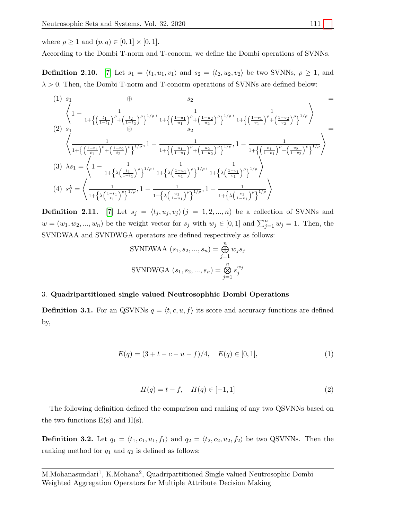where  $\rho \geq 1$  and  $(p, q) \in [0, 1] \times [0, 1]$ .

According to the Dombi T-norm and T-conorm, we define the Dombi operations of SVNNs.

**Definition 2.10.** [\[7\]](#page-14-17) Let  $s_1 = \langle t_1, u_1, v_1 \rangle$  and  $s_2 = \langle t_2, u_2, v_2 \rangle$  be two SVNNs,  $\rho \geq 1$ , and  $\lambda > 0$ . Then, the Dombi T-norm and T-conorm operations of SVNNs are defined below:

$$
(1) s_{1} \oplus s_{2} =
$$
\n
$$
\left\langle 1 - \frac{1}{1 + \left\{ \left( \frac{t_{1}}{1 - t_{1}} \right)^{\rho} + \left( \frac{t_{2}}{1 - t_{2}} \right)^{\rho} \right\}^{1/\rho}}, \frac{1}{1 + \left\{ \left( \frac{1 - u_{1}}{u_{1}} \right)^{\rho} + \left( \frac{1 - u_{2}}{u_{2}} \right)^{\rho} \right\}^{1/\rho}}, \frac{1}{1 + \left\{ \left( \frac{1 - v_{1}}{v_{1}} \right)^{\rho} + \left( \frac{1 - v_{2}}{v_{2}} \right)^{\rho} \right\}^{1/\rho}} \right\} =
$$
\n
$$
\left\langle \frac{1}{1 + \left\{ \left( \frac{1 - t_{1}}{t_{1}} \right)^{\rho} + \left( \frac{1 - t_{2}}{t_{2}} \right)^{\rho} \right\}^{1/\rho}}, 1 - \frac{1}{1 + \left\{ \left( \frac{u_{1}}{1 - u_{1}} \right)^{\rho} + \left( \frac{u_{2}}{1 - u_{2}} \right)^{\rho} \right\}^{1/\rho}}, 1 - \frac{1}{1 + \left\{ \left( \frac{v_{1}}{1 - v_{1}} \right)^{\rho} + \left( \frac{v_{2}}{1 - v_{2}} \right)^{\rho} \right\}^{1/\rho}} \right\rangle =
$$
\n
$$
(3) \lambda s_{1} = \left\langle 1 - \frac{1}{1 + \left\{ \lambda \left( \frac{t_{1}}{1 - t_{1}} \right)^{\rho} \right\}^{1/\rho}}, \frac{1}{1 + \left\{ \lambda \left( \frac{1 - u_{1}}{u_{1}} \right)^{\rho} \right\}^{1/\rho}}, \frac{1}{1 + \left\{ \lambda \left( \frac{1 - v_{1}}{v_{1}} \right)^{\rho} \right\}^{1/\rho}} \right\rangle}
$$
\n
$$
(4) s_{1}^{X} = \left\langle \frac{1}{1 + \left\{ \lambda \left( \frac{t_{1}}{t_{1}} \right)^{\rho} \right\}^{1/\rho}}, 1 - \frac{1}{1 + \left\{ \lambda \left( \frac{u_{1}}{1 - u_{1}} \right)^{\rho} \right\}^{1/\rho}}, 1 - \frac{1}{1 + \left\{ \lambda \left
$$

**Definition 2.11.** [\[7\]](#page-14-17) Let  $s_j = \langle t_j, u_j, v_j \rangle$   $(j = 1, 2, ..., n)$  be a collection of SVNNs and  $w = (w_1, w_2, ..., w_n)$  be the weight vector for  $s_j$  with  $w_j \in [0, 1]$  and  $\sum_{j=1}^n w_j = 1$ . Then, the SVNDWAA and SVNDWGA operators are defined respectively as follows:

SUNDWAA 
$$
(s_1, s_2, ..., s_n)
$$
 =  $\bigoplus_{j=1}^{n} w_j s_j$   
SUNDWGA  $(s_1, s_2, ..., s_n)$  =  $\bigotimes_{j=1}^{n} s_j^{w_j}$ 

#### 3. Quadripartitioned single valued Neutrosophhic Dombi Operations

**Definition 3.1.** For an QSVNNs  $q = \langle t, c, u, f \rangle$  its score and accuracy functions are defined by,

$$
E(q) = (3 + t - c - u - f)/4, \quad E(q) \in [0, 1], \tag{1}
$$

$$
H(q) = t - f, \quad H(q) \in [-1, 1]
$$
\n(2)

The following definition defined the comparison and ranking of any two QSVNNs based on the two functions  $E(s)$  and  $H(s)$ .

**Definition 3.2.** Let  $q_1 = \langle t_1, c_1, u_1, f_1 \rangle$  and  $q_2 = \langle t_2, c_2, u_2, f_2 \rangle$  be two QSVNNs. Then the ranking method for  $q_1$  and  $q_2$  is defined as follows: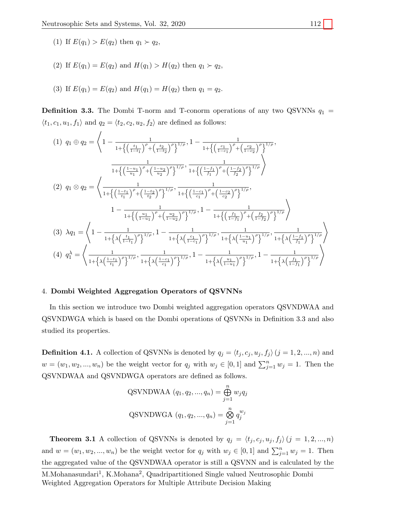(1) If  $E(q_1) > E(q_2)$  then  $q_1 > q_2$ ,

- (2) If  $E(q_1) = E(q_2)$  and  $H(q_1) > H(q_2)$  then  $q_1 > q_2$ ,
- (3) If  $E(q_1) = E(q_2)$  and  $H(q_1) = H(q_2)$  then  $q_1 = q_2$ .

**Definition 3.3.** The Dombi T-norm and T-conorm operations of any two QSVNNs  $q_1$  =  $\langle t_1, c_1, u_1, f_1 \rangle$  and  $q_2 = \langle t_2, c_2, u_2, f_2 \rangle$  are defined as follows:

$$
(1) \ q_{1} \oplus q_{2} = \left\langle 1 - \frac{1}{1 + \left\{ \left(\frac{t_{1}}{1 - t_{1}}\right)^{\rho} + \left(\frac{t_{2}}{1 - t_{2}}\right)^{\rho} \right\}^{1/\rho}, 1 - \frac{1}{1 + \left\{ \left(\frac{c_{1}}{1 - c_{1}}\right)^{\rho} + \left(\frac{c_{2}}{1 - c_{2}}\right)^{\rho} \right\}^{1/\rho}}, \frac{1}{1 + \left\{ \left(\frac{1 - u_{1}}{u_{1}}\right)^{\rho} + \left(\frac{1 - u_{2}}{u_{2}}\right)^{\rho} \right\}^{1/\rho}}, \frac{1}{1 + \left\{ \left(\frac{1 - t_{1}}{f_{1}}\right)^{\rho} + \left(\frac{1 - u_{2}}{u_{2}}\right)^{\rho} \right\}^{1/\rho}}, \frac{1}{1 + \left\{ \left(\frac{1 - t_{1}}{f_{1}}\right)^{\rho} + \left(\frac{1 - t_{2}}{t_{2}}\right)^{\rho} \right\}^{1/\rho}}, \frac{1}{1 + \left\{ \left(\frac{1 - t_{1}}{c_{1}}\right)^{\rho} + \left(\frac{1 - t_{2}}{c_{2}}\right)^{\rho} \right\}^{1/\rho}}, \frac{1}{1 + \left\{ \left(\frac{1 - t_{2}}{c_{1}}\right)^{\rho} + \left(\frac{1 - t_{2}}{c_{2}}\right)^{\rho} \right\}^{1/\rho}}, 1 - \frac{1}{1 + \left\{ \left(\frac{t_{1}}{1 - f_{1}}\right)^{\rho} + \left(\frac{t_{2}}{1 - f_{2}}\right)^{\rho} \right\}^{1/\rho}} \right\}}
$$
\n
$$
(3) \ \lambda q_{1} = \left\langle 1 - \frac{1}{1 + \left\{ \lambda \left(\frac{t_{1}}{1 - t_{1}}\right)^{\rho} \right\}^{1/\rho}}, 1 - \frac{1}{1 + \left\{ \lambda \left(\frac{t_{1}}{1 - t_{1}}\right)^{\rho} \right\}^{1/\rho}}, \frac{1}{1 + \left\{ \lambda \left(\frac{t_{1}}{u_{1}}\right)^{\rho} \right\}^{1/\rho}}, \frac{1}{1 + \left\{ \lambda \left(\frac{t_{1}}{1 - f_{1}}\right)^{\rho} \right\}^{1/\rho}} \right\rangle
$$

## 4. Dombi Weighted Aggregation Operators of QSVNNs

In this section we introduce two Dombi weighted aggregation operators QSVNDWAA and QSVNDWGA which is based on the Dombi operations of QSVNNs in Definition 3.3 and also studied its properties.

**Definition 4.1.** A collection of QSVNNs is denoted by  $q_j = \langle t_j, c_j, u_j, f_j \rangle$   $(j = 1, 2, ..., n)$  and  $w = (w_1, w_2, ..., w_n)$  be the weight vector for  $q_j$  with  $w_j \in [0, 1]$  and  $\sum_{j=1}^n w_j = 1$ . Then the QSVNDWAA and QSVNDWGA operators are defined as follows.

QSVNDWAA 
$$
(q_1, q_2, ..., q_n) = \bigoplus_{j=1}^{n} w_j q_j
$$
  
QSVNDWGA  $(q_1, q_2, ..., q_n) = \bigotimes_{j=1}^{n} q_j^{w_j}$ 

**Theorem 3.1** A collection of QSVNNs is denoted by  $q_j = \langle t_j, c_j, u_j, f_j \rangle$   $(j = 1, 2, ..., n)$ and  $w = (w_1, w_2, ..., w_n)$  be the weight vector for  $q_j$  with  $w_j \in [0, 1]$  and  $\sum_{j=1}^n w_j = 1$ . Then the aggregated value of the QSVNDWAA operator is still a QSVNN and is calculated by the

M.Mohanasundari<sup>1</sup>, K.Mohana<sup>2</sup>, Quadripartitioned Single valued Neutrosophic Dombi Weighted Aggregation Operators for Multiple Attribute Decision Making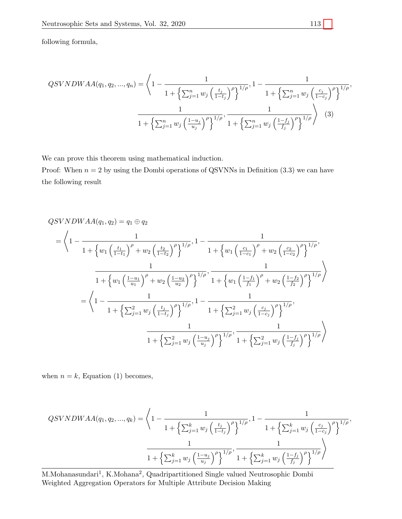following formula,

$$
QSVNDWAA(q_1, q_2, ..., q_n) = \left\langle 1 - \frac{1}{1 + \left\{ \sum_{j=1}^n w_j \left( \frac{t_j}{1 - t_j} \right)^{\rho} \right\}^{1/\rho}}, 1 - \frac{1}{1 + \left\{ \sum_{j=1}^n w_j \left( \frac{c_j}{1 - c_j} \right)^{\rho} \right\}^{1/\rho}}, \frac{1}{1 + \left\{ \sum_{j=1}^n w_j \left( \frac{1 - u_j}{u_j} \right)^{\rho} \right\}^{1/\rho}}, \frac{1}{1 + \left\{ \sum_{j=1}^n w_j \left( \frac{1 - t_j}{t_j} \right)^{\rho} \right\}^{1/\rho}} \right\rangle
$$
(3)

We can prove this theorem using mathematical induction.

Proof: When  $n = 2$  by using the Dombi operations of QSVNNs in Definition (3.3) we can have the following result

$$
QSVNDWAA(q_1, q_2) = q_1 \oplus q_2
$$
\n
$$
= \left\langle 1 - \frac{1}{1 + \left\{w_1 \left(\frac{t_1}{1 - t_1}\right)^{\rho} + w_2 \left(\frac{t_2}{1 - t_2}\right)^{\rho}\right\}^{1/\rho}}, 1 - \frac{1}{1 + \left\{w_1 \left(\frac{c_1}{1 - c_1}\right)^{\rho} + w_2 \left(\frac{c_2}{1 - c_2}\right)^{\rho}\right\}^{1/\rho}}, \frac{1}{1 + \left\{w_1 \left(\frac{1 - u_1}{u_1}\right)^{\rho} + w_2 \left(\frac{1 - u_2}{u_2}\right)^{\rho}\right\}^{1/\rho}}, \frac{1}{1 + \left\{w_1 \left(\frac{1 - f_1}{f_1}\right)^{\rho} + w_2 \left(\frac{1 - f_2}{f_2}\right)^{\rho}\right\}^{1/\rho}} \right\}
$$
\n
$$
= \left\langle 1 - \frac{1}{1 + \left\{\sum_{j=1}^2 w_j \left(\frac{t_j}{1 - t_j}\right)^{\rho}\right\}^{1/\rho}}, 1 - \frac{1}{1 + \left\{\sum_{j=1}^2 w_j \left(\frac{c_j}{1 - c_j}\right)^{\rho}\right\}^{1/\rho}}, \frac{1}{1 + \left\{\sum_{j=1}^2 w_j \left(\frac{1 - u_j}{u_j}\right)^{\rho}\right\}^{1/\rho}}, \frac{1}{1 + \left\{\sum_{j=1}^2 w_j \left(\frac{1 - t_j}{f_j}\right)^{\rho}\right\}^{1/\rho}} \right\rangle
$$

when  $n = k$ , Equation (1) becomes,

$$
QSVNDWAA(q_1, q_2, ..., q_k) = \left\langle 1 - \frac{1}{1 + \left\{ \sum_{j=1}^k w_j \left( \frac{t_j}{1 - t_j} \right)^{\rho} \right\}^{1/\rho}}, 1 - \frac{1}{1 + \left\{ \sum_{j=1}^k w_j \left( \frac{c_j}{1 - c_j} \right)^{\rho} \right\}^{1/\rho}}, \frac{1}{1 + \left\{ \sum_{j=1}^k w_j \left( \frac{1 - u_j}{u_j} \right)^{\rho} \right\}^{1/\rho}}, \frac{1}{1 + \left\{ \sum_{j=1}^k w_j \left( \frac{1 - t_j}{t_j} \right)^{\rho} \right\}^{1/\rho}} \right\rangle
$$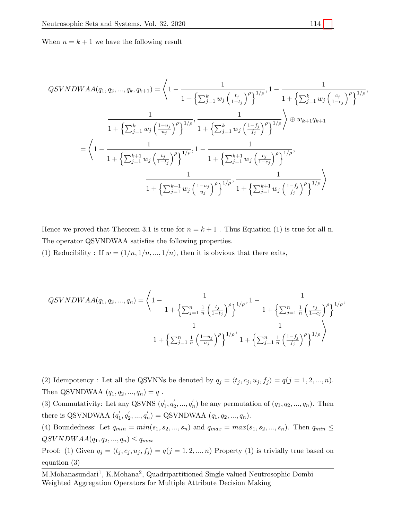When  $n = k + 1$  we have the following result

$$
QSVNDWAA(q_1, q_2, ..., q_k, q_{k+1}) = \left\langle 1 - \frac{1}{1 + \left\{ \sum_{j=1}^k w_j \left( \frac{t_j}{1 - t_j} \right)^{\rho} \right\}^{1/\rho}}, 1 - \frac{1}{1 + \left\{ \sum_{j=1}^k w_j \left( \frac{c_j}{1 - c_j} \right)^{\rho} \right\}^{1/\rho}},
$$
  

$$
\frac{1}{1 + \left\{ \sum_{j=1}^k w_j \left( \frac{1 - u_j}{u_j} \right)^{\rho} \right\}^{1/\rho}}, \frac{1}{1 + \left\{ \sum_{j=1}^k w_j \left( \frac{1 - f_j}{f_j} \right)^{\rho} \right\}^{1/\rho}} \right\rangle \oplus w_{k+1} q_{k+1}
$$
  

$$
= \left\langle 1 - \frac{1}{1 + \left\{ \sum_{j=1}^{k+1} w_j \left( \frac{t_j}{1 - t_j} \right)^{\rho} \right\}^{1/\rho}}, 1 - \frac{1}{1 + \left\{ \sum_{j=1}^{k+1} w_j \left( \frac{c_j}{1 - c_j} \right)^{\rho} \right\}^{1/\rho}},
$$
  

$$
\frac{1}{1 + \left\{ \sum_{j=1}^{k+1} w_j \left( \frac{1 - u_j}{u_j} \right)^{\rho} \right\}^{1/\rho}}, \frac{1}{1 + \left\{ \sum_{j=1}^{k+1} w_j \left( \frac{1 - f_j}{f_j} \right)^{\rho} \right\}^{1/\rho}} \right\rangle
$$

Hence we proved that Theorem 3.1 is true for  $n = k + 1$ . Thus Equation (1) is true for all n. The operator QSVNDWAA satisfies the following properties.

(1) Reducibility : If  $w = (1/n, 1/n, ..., 1/n)$ , then it is obvious that there exits,

$$
QSVNDWAA(q_1, q_2, ..., q_n) = \left\langle 1 - \frac{1}{1 + \left\{ \sum_{j=1}^n \frac{1}{n} \left( \frac{t_j}{1 - t_j} \right)^{\rho} \right\}^{1/\rho}}, 1 - \frac{1}{1 + \left\{ \sum_{j=1}^n \frac{1}{n} \left( \frac{c_j}{1 - c_j} \right)^{\rho} \right\}^{1/\rho}}, \frac{1}{1 + \left\{ \sum_{j=1}^n \frac{1}{n} \left( \frac{1 - u_j}{u_j} \right)^{\rho} \right\}^{1/\rho}}, \frac{1}{1 + \left\{ \sum_{j=1}^n \frac{1}{n} \left( \frac{1 - f_j}{f_j} \right)^{\rho} \right\}^{1/\rho}} \right\rangle
$$

(2) Idempotency : Let all the QSVNNs be denoted by  $q_j = \langle t_j, c_j, u_j, f_j \rangle = q(j = 1, 2, ..., n)$ . Then QSVNDWAA  $(q_1, q_2, ..., q_n) = q$ .

(3) Commutativity: Let any QSVNS  $(q'_1, q'_2, ..., q'_n)$  be any permutation of  $(q_1, q_2, ..., q_n)$ . Then there is QSVNDWAA  $(q'_1, q'_2, ..., q'_n) =$  QSVNDWAA  $(q_1, q_2, ..., q_n)$ .

(4) Boundedness: Let  $q_{min} = min(s_1, s_2, ..., s_n)$  and  $q_{max} = max(s_1, s_2, ..., s_n)$ . Then  $q_{min} \leq$  $QSVNDWAA(q_1, q_2, ..., q_n) \leq q_{max}$ 

Proof: (1) Given  $q_j = \langle t_j, c_j, u_j, f_j \rangle = q(j = 1, 2, ..., n)$  Property (1) is trivially true based on equation (3)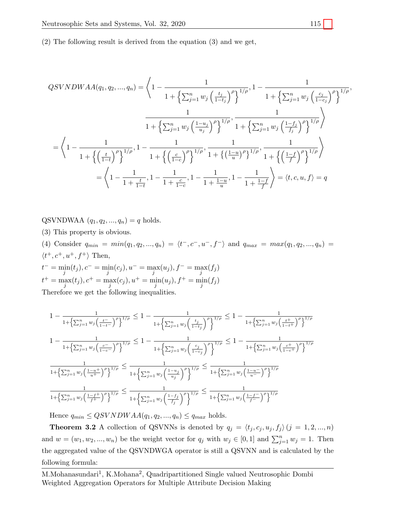(2) The following result is derived from the equation (3) and we get,

$$
QSVNDWAA(q_1, q_2, ..., q_n) = \left\langle 1 - \frac{1}{1 + \left\{ \sum_{j=1}^n w_j \left( \frac{t_j}{1 - t_j} \right)^{\rho} \right\}^{1/\rho}}, 1 - \frac{1}{1 + \left\{ \sum_{j=1}^n w_j \left( \frac{c_j}{1 - c_j} \right)^{\rho} \right\}^{1/\rho}}, \frac{1}{1 + \left\{ \sum_{j=1}^n w_j \left( \frac{1 - u_j}{u_j} \right)^{\rho} \right\}^{1/\rho}}, \frac{1}{1 + \left\{ \sum_{j=1}^n w_j \left( \frac{1 - f_j}{f_j} \right)^{\rho} \right\}^{1/\rho}} \right\rangle}
$$
  

$$
= \left\langle 1 - \frac{1}{1 + \left\{ \left( \frac{t}{1 - t} \right)^{\rho} \right\}^{1/\rho}}, 1 - \frac{1}{1 + \left\{ \left( \frac{c}{1 - c} \right)^{\rho} \right\}^{1/\rho}}, \frac{1}{1 + \left\{ \left( \frac{1 - u}{u} \right)^{\rho} \right\}^{1/\rho}}, \frac{1}{1 + \left\{ \left( \frac{1 - f}{f} \right)^{\rho} \right\}^{1/\rho}} \right\rangle}
$$
  

$$
= \left\langle 1 - \frac{1}{1 + \frac{t}{1 - t}}, 1 - \frac{1}{1 + \frac{c}{1 - c}}, 1 - \frac{1}{1 + \frac{1 - u}{u}}, 1 - \frac{1}{1 + \frac{1 - f}{f}} \right\rangle = \langle t, c, u, f \rangle = q
$$

QSVNDWAA  $(q_1, q_2, ..., q_n) = q$  holds.

(3) This property is obvious.

(4) Consider  $q_{min} = min(q_1, q_2, ..., q_n) = \langle t^-, c^-, u^-, f^- \rangle$  and  $q_{max} = max(q_1, q_2, ..., q_n) =$  $\langle t^+, c^+, u^+, f^+ \rangle$  Then,

$$
t^- = \min_j(t_j), c^- = \min_j(c_j), u^- = \max_j(u_j), f^- = \max_j(f_j)
$$
  

$$
t^+ = \max_j(t_j), c^+ = \max_j(c_j), u^+ = \min_j(u_j), f^+ = \min_j(f_j)
$$
  
Therefore we get the following inequalities

Therefore we get the following inequalities.

$$
1 - \frac{1}{1 + \left\{\sum_{j=1}^{n} w_j \left(\frac{t^-}{1-t^-}\right)^{\rho}\right\}^{1/\rho}} \le 1 - \frac{1}{1 + \left\{\sum_{j=1}^{n} w_j \left(\frac{t_j}{1-t_j}\right)^{\rho}\right\}^{1/\rho}} \le 1 - \frac{1}{1 + \left\{\sum_{j=1}^{n} w_j \left(\frac{t^+}{1-t^+}\right)^{\rho}\right\}^{1/\rho}}
$$
  

$$
1 - \frac{1}{1 + \left\{\sum_{j=1}^{n} w_j \left(\frac{c^-}{1-c^-}\right)^{\rho}\right\}^{1/\rho}} \le 1 - \frac{1}{1 + \left\{\sum_{j=1}^{n} w_j \left(\frac{c_j}{1-c_j}\right)^{\rho}\right\}^{1/\rho}} \le 1 - \frac{1}{1 + \left\{\sum_{j=1}^{n} w_j \left(\frac{c^+}{1-c^+}\right)^{\rho}\right\}^{1/\rho}}
$$
  

$$
\frac{1}{1 + \left\{\sum_{j=1}^{n} w_j \left(\frac{1-u^+}{u^+}\right)^{\rho}\right\}^{1/\rho}} \le \frac{1}{1 + \left\{\sum_{j=1}^{n} w_j \left(\frac{1-u_j}{u_j}\right)^{\rho}\right\}^{1/\rho}} \le \frac{1}{1 + \left\{\sum_{j=1}^{n} w_j \left(\frac{1-u^-}{u^-}\right)^{\rho}\right\}^{1/\rho}}
$$
  

$$
\frac{1}{1 + \left\{\sum_{j=1}^{n} w_j \left(\frac{1-f^+}{f^+}\right)^{\rho}\right\}^{1/\rho}} \le \frac{1}{1 + \left\{\sum_{j=1}^{n} w_j \left(\frac{1-f_j}{f_j}\right)^{\rho}\right\}^{1/\rho}} \le \frac{1}{1 + \left\{\sum_{j=1}^{n} w_j \left(\frac{1-f^-}{f^-}\right)^{\rho}\right\}^{1/\rho}}
$$

Hence  $q_{min} \leq QSVNDWAA(q_1, q_2, ..., q_n) \leq q_{max}$  holds.

**Theorem 3.2** A collection of QSVNNs is denoted by  $q_j = \langle t_j, c_j, u_j, f_j \rangle$   $(j = 1, 2, ..., n)$ and  $w = (w_1, w_2, ..., w_n)$  be the weight vector for  $q_j$  with  $w_j \in [0, 1]$  and  $\sum_{j=1}^n w_j = 1$ . Then the aggregated value of the QSVNDWGA operator is still a QSVNN and is calculated by the following formula: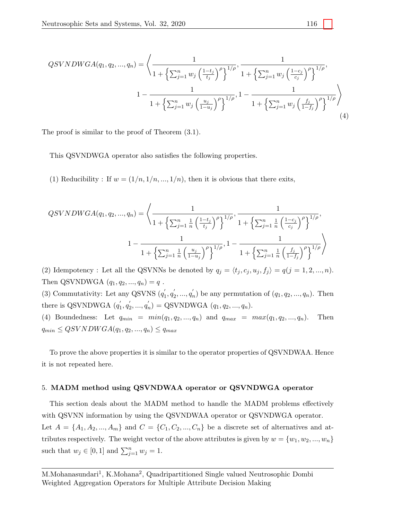$$
QSVNDWGA(q_1, q_2, ..., q_n) = \left\langle \frac{1}{1 + \left\{ \sum_{j=1}^n w_j \left( \frac{1 - t_j}{t_j} \right)^{\rho} \right\}^{1/\rho}}, \frac{1}{1 + \left\{ \sum_{j=1}^n w_j \left( \frac{1 - c_j}{c_j} \right)^{\rho} \right\}^{1/\rho}}, 1 - \frac{1}{1 + \left\{ \sum_{j=1}^n w_j \left( \frac{u_j}{1 - u_j} \right)^{\rho} \right\}^{1/\rho}}, 1 - \frac{1}{1 + \left\{ \sum_{j=1}^n w_j \left( \frac{t_j}{1 - t_j} \right)^{\rho} \right\}^{1/\rho}} \right\rangle
$$
\n(4)

The proof is similar to the proof of Theorem (3.1).

This QSVNDWGA operator also satisfies the following properties.

(1) Reducibility : If  $w = (1/n, 1/n, ..., 1/n)$ , then it is obvious that there exits,

$$
QSVNDWGA(q_1, q_2, ..., q_n) = \left\langle \frac{1}{1 + \left\{ \sum_{j=1}^n \frac{1}{n} \left( \frac{1 - t_j}{t_j} \right)^{\rho} \right\}^{1/\rho}}, \frac{1}{1 + \left\{ \sum_{j=1}^n \frac{1}{n} \left( \frac{1 - c_j}{c_j} \right)^{\rho} \right\}^{1/\rho}}, \right.
$$

$$
1 - \frac{1}{1 + \left\{ \sum_{j=1}^n \frac{1}{n} \left( \frac{u_j}{1 - u_j} \right)^{\rho} \right\}^{1/\rho}}, 1 - \frac{1}{1 + \left\{ \sum_{j=1}^n \frac{1}{n} \left( \frac{f_j}{1 - f_j} \right)^{\rho} \right\}^{1/\rho}} \right\rangle
$$

(2) Idempotency : Let all the QSVNNs be denoted by  $q_j = \langle t_j, c_j, u_j, f_j \rangle = q(j = 1, 2, ..., n)$ . Then QSVNDWGA  $(q_1, q_2, ..., q_n) = q$ .

(3) Commutativity: Let any QSVNS  $(q'_1, q'_2, ..., q'_n)$  be any permutation of  $(q_1, q_2, ..., q_n)$ . Then there is QSVNDWGA  $(q'_1, q'_2, ..., q'_n) =$  QSVNDWGA  $(q_1, q_2, ..., q_n)$ .

(4) Boundedness: Let  $q_{min} = min(q_1, q_2, ..., q_n)$  and  $q_{max} = max(q_1, q_2, ..., q_n)$ . Then  $q_{min} \leq QSVNDWGA(q_1, q_2, ..., q_n) \leq q_{max}$ 

To prove the above properties it is similar to the operator properties of QSVNDWAA. Hence it is not repeated here.

#### 5. MADM method using QSVNDWAA operator or QSVNDWGA operator

This section deals about the MADM method to handle the MADM problems effectively with QSVNN information by using the QSVNDWAA operator or QSVNDWGA operator. Let  $A = \{A_1, A_2, ..., A_m\}$  and  $C = \{C_1, C_2, ..., C_n\}$  be a discrete set of alternatives and attributes respectively. The weight vector of the above attributes is given by  $w = \{w_1, w_2, ..., w_n\}$ such that  $w_j \in [0,1]$  and  $\sum_{j=1}^n w_j = 1$ .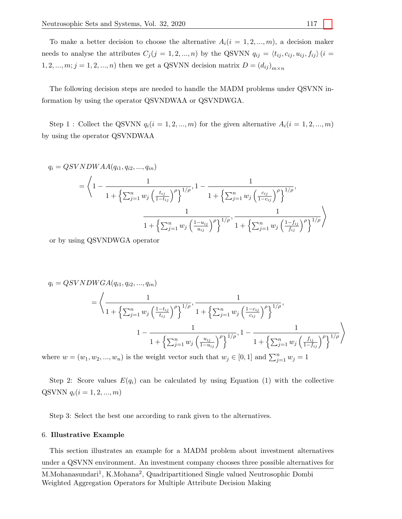To make a better decision to choose the alternative  $A_i(i = 1, 2, ..., m)$ , a decision maker needs to analyse the attributes  $C_j (j = 1, 2, ..., n)$  by the QSVNN  $q_{ij} = \langle t_{ij}, c_{ij}, u_{ij}, f_{ij} \rangle (i =$ 1, 2, ...,  $m; j = 1, 2, ..., n$ ) then we get a QSVNN decision matrix  $D = (d_{ij})_{m \times n}$ 

The following decision steps are needed to handle the MADM problems under QSVNN information by using the operator QSVNDWAA or QSVNDWGA.

Step 1 : Collect the QSVNN  $q_i(i = 1, 2, ..., m)$  for the given alternative  $A_i(i = 1, 2, ..., m)$ by using the operator QSVNDWAA

$$
q_{i} = QSVNDWAA(q_{i1}, q_{i2}, ..., q_{in})
$$
\n
$$
= \left\langle 1 - \frac{1}{1 + \left\{ \sum_{j=1}^{n} w_{j} \left( \frac{t_{ij}}{1 - t_{ij}} \right)^{\rho} \right\}^{1/\rho}}, 1 - \frac{1}{1 + \left\{ \sum_{j=1}^{n} w_{j} \left( \frac{c_{ij}}{1 - c_{ij}} \right)^{\rho} \right\}^{1/\rho}}, \frac{1}{1 + \left\{ \sum_{j=1}^{n} w_{j} \left( \frac{1 - u_{ij}}{u_{ij}} \right)^{\rho} \right\}^{1/\rho}}, \frac{1}{1 + \left\{ \sum_{j=1}^{n} w_{j} \left( \frac{1 - t_{ij}}{t_{ij}} \right)^{\rho} \right\}^{1/\rho}} \right\rangle
$$

or by using QSVNDWGA operator

$$
q_{i} = QSVNDWGA(q_{i1}, q_{i2}, ..., q_{in})
$$
\n
$$
= \left\langle \frac{1}{1 + \left\{ \sum_{j=1}^{n} w_{j} \left( \frac{1 - t_{ij}}{t_{ij}} \right)^{\rho} \right\}^{1/\rho}}, \frac{1}{1 + \left\{ \sum_{j=1}^{n} w_{j} \left( \frac{1 - c_{ij}}{c_{ij}} \right)^{\rho} \right\}^{1/\rho}}, \frac{1}{1 + \left\{ \sum_{j=1}^{n} w_{j} \left( \frac{u_{ij}}{1 - u_{ij}} \right)^{\rho} \right\}^{1/\rho}}, 1 - \frac{1}{1 + \left\{ \sum_{j=1}^{n} w_{j} \left( \frac{t_{ij}}{1 - t_{ij}} \right)^{\rho} \right\}^{1/\rho}} \right\rangle
$$

where  $w = (w_1, w_2, ..., w_n)$  is the weight vector such that  $w_j \in [0, 1]$  and  $\sum_{j=1}^n w_j = 1$ 

Step 2: Score values  $E(q_i)$  can be calculated by using Equation (1) with the collective QSVNN  $q_i (i = 1, 2, ..., m)$ 

Step 3: Select the best one according to rank given to the alternatives.

#### 6. Illustrative Example

This section illustrates an example for a MADM problem about investment alternatives under a QSVNN environment. An investment company chooses three possible alternatives for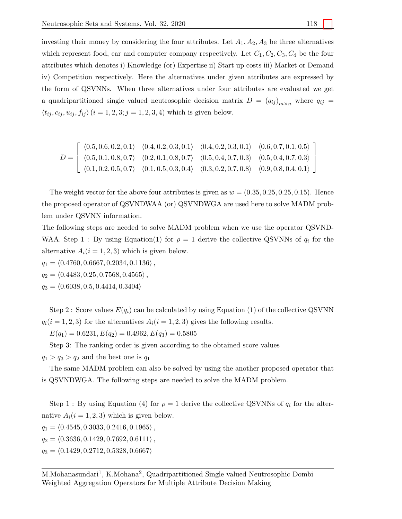investing their money by considering the four attributes. Let  $A_1, A_2, A_3$  be three alternatives which represent food, car and computer company respectively. Let  $C_1, C_2, C_3, C_4$  be the four attributes which denotes i) Knowledge (or) Expertise ii) Start up costs iii) Market or Demand iv) Competition respectively. Here the alternatives under given attributes are expressed by the form of QSVNNs. When three alternatives under four attributes are evaluated we get a quadripartitioned single valued neutrosophic decision matrix  $D = (q_{ij})_{m \times n}$  where  $q_{ij}$  $\langle t_{ij}, c_{ij}, u_{ij}, f_{ij} \rangle$   $(i = 1, 2, 3; j = 1, 2, 3, 4)$  which is given below.

$$
D = \left[ \begin{array}{cccc} \langle 0.5, 0.6, 0.2, 0.1 \rangle & \langle 0.4, 0.2, 0.3, 0.1 \rangle & \langle 0.4, 0.2, 0.3, 0.1 \rangle & \langle 0.6, 0.7, 0.1, 0.5 \rangle \\ \langle 0.5, 0.1, 0.8, 0.7 \rangle & \langle 0.2, 0.1, 0.8, 0.7 \rangle & \langle 0.5, 0.4, 0.7, 0.3 \rangle & \langle 0.5, 0.4, 0.7, 0.3 \rangle \\ \langle 0.1, 0.2, 0.5, 0.7 \rangle & \langle 0.1, 0.5, 0.3, 0.4 \rangle & \langle 0.3, 0.2, 0.7, 0.8 \rangle & \langle 0.9, 0.8, 0.4, 0.1 \rangle \end{array} \right]
$$

The weight vector for the above four attributes is given as  $w = (0.35, 0.25, 0.25, 0.15)$ . Hence the proposed operator of QSVNDWAA (or) QSVNDWGA are used here to solve MADM problem under QSVNN information.

The following steps are needed to solve MADM problem when we use the operator QSVND-WAA. Step 1 : By using Equation(1) for  $\rho = 1$  derive the collective QSVNNs of  $q_i$  for the alternative  $A_i(i = 1, 2, 3)$  which is given below.

 $q_1 = \langle 0.4760, 0.6667, 0.2034, 0.1136 \rangle$ ,

 $q_2 = \langle 0.4483, 0.25, 0.7568, 0.4565 \rangle$ ,

 $q_3 = \langle 0.6038, 0.5, 0.4414, 0.3404 \rangle$ 

Step 2 : Score values  $E(q_i)$  can be calculated by using Equation (1) of the collective QSVNN  $q_i(i = 1, 2, 3)$  for the alternatives  $A_i(i = 1, 2, 3)$  gives the following results.

 $E(q_1) = 0.6231, E(q_2) = 0.4962, E(q_3) = 0.5805$ 

Step 3: The ranking order is given according to the obtained score values

 $q_1 > q_3 > q_2$  and the best one is  $q_1$ 

The same MADM problem can also be solved by using the another proposed operator that is QSVNDWGA. The following steps are needed to solve the MADM problem.

Step 1 : By using Equation (4) for  $\rho = 1$  derive the collective QSVNNs of  $q_i$  for the alternative  $A_i(i = 1, 2, 3)$  which is given below.

 $q_1 = \langle 0.4545, 0.3033, 0.2416, 0.1965 \rangle$ ,

 $q_2 = \langle 0.3636, 0.1429, 0.7692, 0.6111 \rangle$ ,

 $q_3 = \langle 0.1429, 0.2712, 0.5328, 0.6667 \rangle$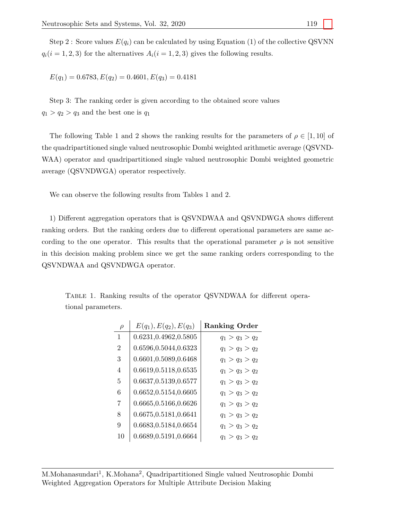Step 2 : Score values  $E(q_i)$  can be calculated by using Equation (1) of the collective QSVNN  $q_i(i = 1, 2, 3)$  for the alternatives  $A_i(i = 1, 2, 3)$  gives the following results.

 $E(q_1) = 0.6783, E(q_2) = 0.4601, E(q_3) = 0.4181$ 

Step 3: The ranking order is given according to the obtained score values  $q_1 > q_2 > q_3$  and the best one is  $q_1$ 

The following Table 1 and 2 shows the ranking results for the parameters of  $\rho \in [1, 10]$  of the quadripartitioned single valued neutrosophic Dombi weighted arithmetic average (QSVND-WAA) operator and quadripartitioned single valued neutrosophic Dombi weighted geometric average (QSVNDWGA) operator respectively.

We can observe the following results from Tables 1 and 2.

1) Different aggregation operators that is QSVNDWAA and QSVNDWGA shows different ranking orders. But the ranking orders due to different operational parameters are same according to the one operator. This results that the operational parameter  $\rho$  is not sensitive in this decision making problem since we get the same ranking orders corresponding to the QSVNDWAA and QSVNDWGA operator.

| $\rho$ | $E(q_1), E(q_2), E(q_3)$ | <b>Ranking Order</b> |
|--------|--------------------------|----------------------|
| 1      | 0.6231,0.4962,0.5805     | $q_1 > q_3 > q_2$    |
| 2      | 0.6596,0.5044,0.6323     | $q_1 > q_3 > q_2$    |
| 3      | 0.6601,0.5089,0.6468     | $q_1 > q_3 > q_2$    |
| 4      | 0.6619, 0.5118, 0.6535   | $q_1 > q_3 > q_2$    |
| 5      | 0.6637,0.5139,0.6577     | $q_1 > q_3 > q_2$    |
| 6      | 0.6652,0.5154,0.6605     | $q_1 > q_3 > q_2$    |
| 7      | 0.6665,0.5166,0.6626     | $q_1 > q_3 > q_2$    |
| 8      | 0.6675, 0.5181, 0.6641   | $q_1 > q_3 > q_2$    |
| 9      | 0.6683, 0.5184, 0.6654   | $q_1 > q_3 > q_2$    |
| 10     | 0.6689, 0.5191, 0.6664   | $q_1 > q_3 > q_2$    |

Table 1. Ranking results of the operator QSVNDWAA for different operational parameters.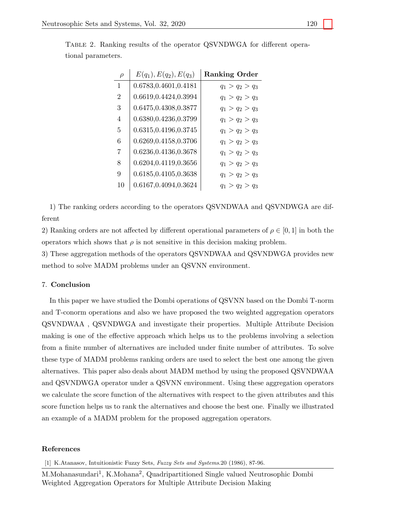| $\rho$         | $E(q_1), E(q_2), E(q_3)$ | <b>Ranking Order</b> |
|----------------|--------------------------|----------------------|
| 1              | 0.6783,0.4601,0.4181     | $q_1 > q_2 > q_3$    |
| $\overline{2}$ | 0.6619, 0.4424, 0.3994   | $q_1 > q_2 > q_3$    |
| 3              | 0.6475,0.4308,0.3877     | $q_1 > q_2 > q_3$    |
| 4              | 0.6380,0.4236,0.3799     | $q_1 > q_2 > q_3$    |
| 5              | 0.6315,0.4196,0.3745     | $q_1 > q_2 > q_3$    |
| 6              | 0.6269, 0.4158, 0.3706   | $q_1 > q_2 > q_3$    |
| 7              | 0.6236, 0.4136, 0.3678   | $q_1 > q_2 > q_3$    |
| 8              | 0.6204,0.4119,0.3656     | $q_1 > q_2 > q_3$    |
| 9              | 0.6185,0.4105,0.3638     | $q_1 > q_2 > q_3$    |
| 10             | 0.6167,0.4094,0.3624     | $q_1 > q_2 > q_3$    |

Table 2. Ranking results of the operator QSVNDWGA for different operational parameters.

1) The ranking orders according to the operators QSVNDWAA and QSVNDWGA are different

2) Ranking orders are not affected by different operational parameters of  $\rho \in [0, 1]$  in both the operators which shows that  $\rho$  is not sensitive in this decision making problem.

3) These aggregation methods of the operators QSVNDWAA and QSVNDWGA provides new method to solve MADM problems under an QSVNN environment.

### 7. Conclusion

In this paper we have studied the Dombi operations of QSVNN based on the Dombi T-norm and T-conorm operations and also we have proposed the two weighted aggregation operators QSVNDWAA , QSVNDWGA and investigate their properties. Multiple Attribute Decision making is one of the effective approach which helps us to the problems involving a selection from a finite number of alternatives are included under finite number of attributes. To solve these type of MADM problems ranking orders are used to select the best one among the given alternatives. This paper also deals about MADM method by using the proposed QSVNDWAA and QSVNDWGA operator under a QSVNN environment. Using these aggregation operators we calculate the score function of the alternatives with respect to the given attributes and this score function helps us to rank the alternatives and choose the best one. Finally we illustrated an example of a MADM problem for the proposed aggregation operators.

#### References

<span id="page-13-0"></span>[1] K.Atanasov, Intuitionistic Fuzzy Sets, Fuzzy Sets and Systems.20 (1986), 87-96.

M.Mohanasundari<sup>1</sup>, K.Mohana<sup>2</sup>, Quadripartitioned Single valued Neutrosophic Dombi Weighted Aggregation Operators for Multiple Attribute Decision Making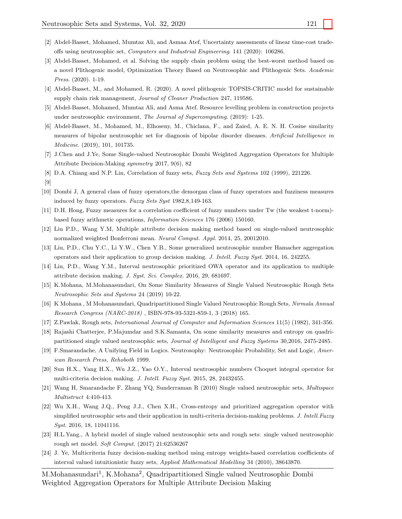- <span id="page-14-4"></span>[3] Abdel-Basset, Mohamed, et al. Solving the supply chain problem using the best-worst method based on a novel Plithogenic model, Optimization Theory Based on Neutrosophic and Plithogenic Sets. Academic Press. (2020). 1-19.
- [4] Abdel-Basset, M., and Mohamed, R. (2020). A novel plithogenic TOPSIS-CRITIC model for sustainable supply chain risk management, Journal of Cleaner Production 247, 119586.
- [5] Abdel-Basset, Mohamed, Mumtaz Ali, and Asma Atef. Resource levelling problem in construction projects under neutrosophic environment, The Journal of Supercomputing. (2019): 1-25.
- <span id="page-14-5"></span>[6] Abdel-Basset, M., Mohamed, M., Elhoseny, M., Chiclana, F., and Zaied, A. E. N. H. Cosine similarity measures of bipolar neutrosophic set for diagnosis of bipolar disorder diseases. Artificial Intelligence in Medicine. (2019), 101, 101735.
- <span id="page-14-17"></span>[7] J.Chen and J.Ye, Some Single-valued Neutrosophic Dombi Weighted Aggregation Operators for Multiple Attribute Decision-Making symmetry 2017, 9(6), 82
- <span id="page-14-9"></span>[8] D.A. Chiang and N.P. Lin, Correlation of fuzzy sets, Fuzzy Sets and Systems 102 (1999), 221226.
- [9]
- <span id="page-14-16"></span>[10] Dombi J, A general class of fuzzy operators,the demorgan class of fuzzy operators and fuzziness measures induced by fuzzy operators. Fuzzy Sets Syst 1982,8,149-163.
- <span id="page-14-10"></span>[11] D.H. Hong, Fuzzy measures for a correlation coefficient of fuzzy numbers under Tw (the weakest t-norm) based fuzzy arithmetic operations, Information Sciences 176 (2006) 150160.
- <span id="page-14-12"></span>[12] Liu P.D., Wang Y.M, Multiple attribute decision making method based on single-valued neutrosophic normalized weighted Bonferroni mean. Neural Comput. Appl. 2014, 25, 20012010.
- [13] Liu, P.D., Chu Y.C., Li Y.W., Chen Y.B., Some generalized neutrosophic number Hamacher aggregation operators and their application to group decision making. J. Intell. Fuzzy Syst. 2014, 16, 242255.
- <span id="page-14-13"></span>[14] Liu, P.D., Wang Y.M., Interval neutrosophic prioritized OWA operator and its application to multiple attribute decision making. J. Syst. Sci. Complex. 2016, 29, 681697.
- <span id="page-14-6"></span>[15] K.Mohana, M.Mohanasundari, On Some Similarity Measures of Single Valued Neutrosophic Rough Sets Neutrosophic Sets and Systems 24 (2019) 10-22.
- <span id="page-14-8"></span>[16] K Mohana , M Mohanasundari, Quadripartitioned Single Valued Neutrosophic Rough Sets, Nirmala Annual Research Congress (NARC-2018) , ISBN-978-93-5321-859-1, 3 (2018) 165.
- <span id="page-14-2"></span>[17] Z.Pawlak, Rough sets, International Journal of Computer and Information Sciences 11(5) (1982), 341-356.
- <span id="page-14-7"></span>[18] Rajashi Chatterjee, P.Majumdar and S.K.Samanta, On some similarity measures and entropy on quadripartitioned single valued neutrosophic sets, Journal of Intelligent and Fuzzy Systems 30,2016, 2475-2485.
- <span id="page-14-0"></span>[19] F.Smarandache, A Unifying Field in Logics. Neutrosophy: Neutrosophic Probability, Set and Logic, American Research Press, Rehoboth 1999.
- <span id="page-14-14"></span>[20] Sun H.X., Yang H.X., Wu J.Z., Yao O.Y., Interval neutrosophic numbers Choquet integral operator for multi-criteria decision making. J. Intell. Fuzzy Syst. 2015, 28, 24432455.
- <span id="page-14-1"></span>[21] Wang H, Smarandache F, Zhang YQ, Sunderraman R (2010) Single valued neutrosophic sets, Multispace Multistruct 4:410-413.
- <span id="page-14-15"></span>[22] Wu X.H., Wang J.Q., Peng J.J., Chen X.H., Cross-entropy and prioritized aggregation operator with simplified neutrosophic sets and their application in multi-criteria decision-making problems. J. Intell. Fuzzy Syst. 2016, 18, 11041116.
- <span id="page-14-3"></span>[23] H.L.Yang., A hybrid model of single valued neutrosophic sets and rough sets: single valued neutrosophic rough set model. Soft Comput. (2017) 21:62536267
- <span id="page-14-11"></span>[24] J. Ye, Multicriteria fuzzy decision-making method using entropy weights-based correlation coefficients of interval valued intuitionistic fuzzy sets, Applied Mathematical Modelling 34 (2010), 38643870.
- M.Mohanasundari<sup>1</sup>, K.Mohana<sup>2</sup>, Quadripartitioned Single valued Neutrosophic Dombi Weighted Aggregation Operators for Multiple Attribute Decision Making